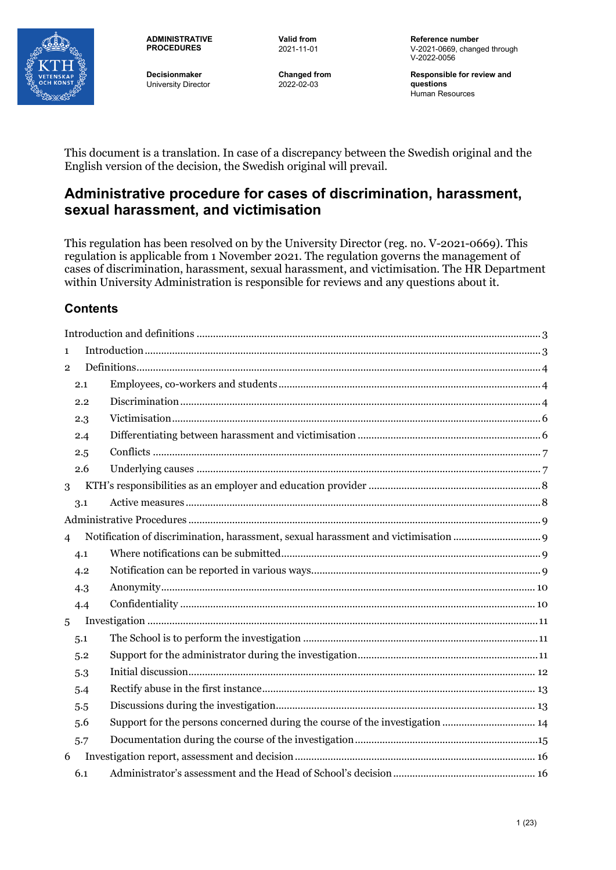

**ADMINISTRATIVE PROCEDURES**

**Decisionmaker** University Director **Valid from** 2021-11-01

**Changed from** 2022-02-03

**Reference number** V-2021-0669, changed through V-2022-0056

**Responsible for review and questions** Human Resources

This document is a translation. In case of a discrepancy between the Swedish original and the English version of the decision, the Swedish original will prevail.

# **Administrative procedure for cases of discrimination, harassment, sexual harassment, and victimisation**

This regulation has been resolved on by the University Director (reg. no. V-2021-0669). This regulation is applicable from 1 November 2021. The regulation governs the management of cases of discrimination, harassment, sexual harassment, and victimisation. The HR Department within University Administration is responsible for reviews and any questions about it.

## **Contents**

| $\mathbf{1}$   |     |                                                                              |  |
|----------------|-----|------------------------------------------------------------------------------|--|
| $\overline{2}$ |     |                                                                              |  |
|                | 2.1 |                                                                              |  |
|                | 2.2 |                                                                              |  |
|                | 2.3 |                                                                              |  |
|                | 2.4 |                                                                              |  |
|                | 2.5 |                                                                              |  |
|                | 2.6 |                                                                              |  |
| 3              |     |                                                                              |  |
|                | 3.1 |                                                                              |  |
|                |     |                                                                              |  |
| $\overline{4}$ |     |                                                                              |  |
|                | 4.1 |                                                                              |  |
|                | 4.2 |                                                                              |  |
|                | 4.3 |                                                                              |  |
|                | 4.4 |                                                                              |  |
| 5              |     |                                                                              |  |
|                | 5.1 |                                                                              |  |
|                | 5.2 |                                                                              |  |
|                | 5.3 |                                                                              |  |
|                | 5.4 |                                                                              |  |
|                | 5.5 |                                                                              |  |
|                | 5.6 | Support for the persons concerned during the course of the investigation  14 |  |
|                | 5.7 |                                                                              |  |
| 6              |     |                                                                              |  |
|                | 6.1 |                                                                              |  |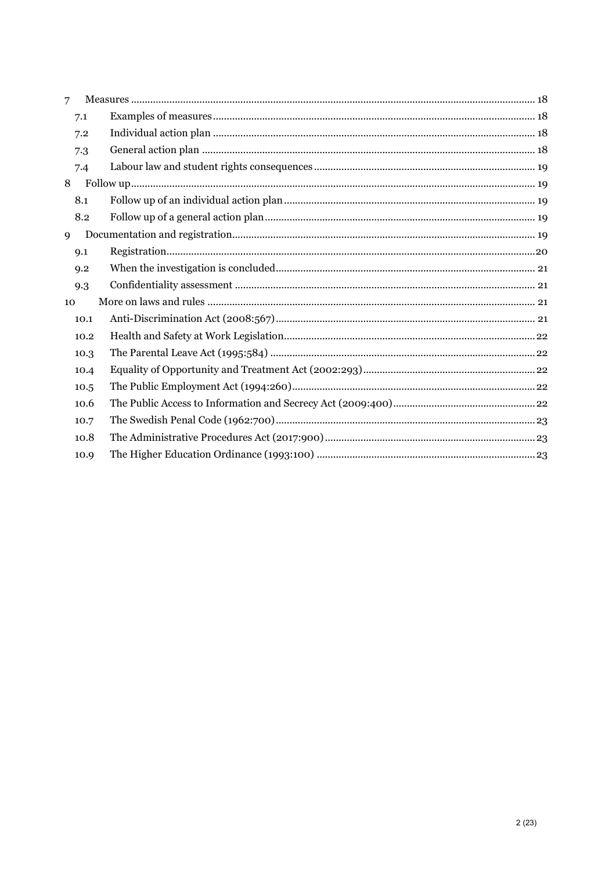| 7    |  |
|------|--|
| 7.1  |  |
| 7.2  |  |
| 7.3  |  |
| 7.4  |  |
| 8    |  |
| 8.1  |  |
| 8.2  |  |
| 9    |  |
| 9.1  |  |
| 9.2  |  |
| 9.3  |  |
| 10   |  |
| 10.1 |  |
| 10.2 |  |
| 10.3 |  |
| 10.4 |  |
| 10.5 |  |
| 10.6 |  |
| 10.7 |  |
| 10.8 |  |
| 10.9 |  |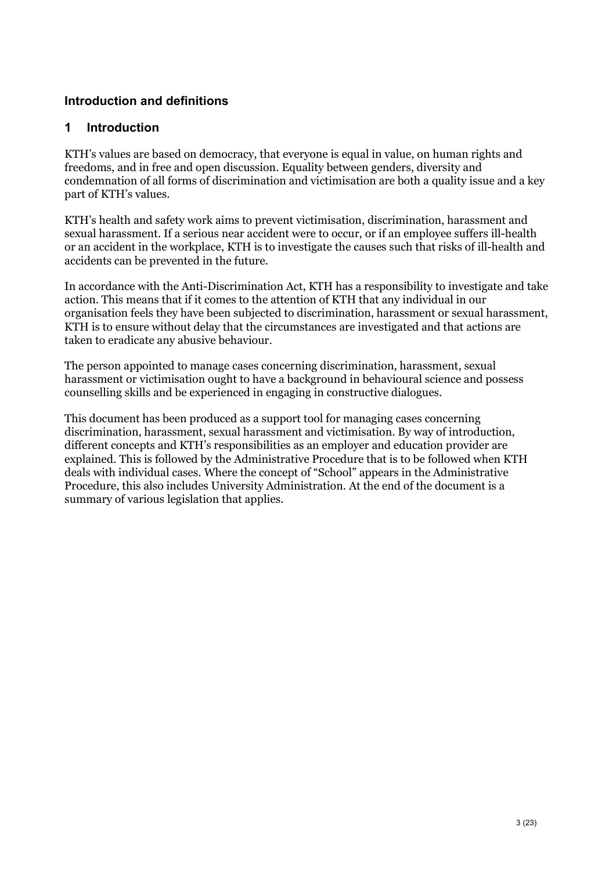## <span id="page-2-0"></span>**Introduction and definitions**

## <span id="page-2-1"></span>**1 Introduction**

KTH's values are based on democracy, that everyone is equal in value, on human rights and freedoms, and in free and open discussion. Equality between genders, diversity and condemnation of all forms of discrimination and victimisation are both a quality issue and a key part of KTH's values.

KTH's health and safety work aims to prevent victimisation, discrimination, harassment and sexual harassment. If a serious near accident were to occur, or if an employee suffers ill-health or an accident in the workplace, KTH is to investigate the causes such that risks of ill-health and accidents can be prevented in the future.

In accordance with the Anti-Discrimination Act, KTH has a responsibility to investigate and take action. This means that if it comes to the attention of KTH that any individual in our organisation feels they have been subjected to discrimination, harassment or sexual harassment, KTH is to ensure without delay that the circumstances are investigated and that actions are taken to eradicate any abusive behaviour.

The person appointed to manage cases concerning discrimination, harassment, sexual harassment or victimisation ought to have a background in behavioural science and possess counselling skills and be experienced in engaging in constructive dialogues.

This document has been produced as a support tool for managing cases concerning discrimination, harassment, sexual harassment and victimisation. By way of introduction, different concepts and KTH's responsibilities as an employer and education provider are explained. This is followed by the Administrative Procedure that is to be followed when KTH deals with individual cases. Where the concept of "School" appears in the Administrative Procedure, this also includes University Administration. At the end of the document is a summary of various legislation that applies.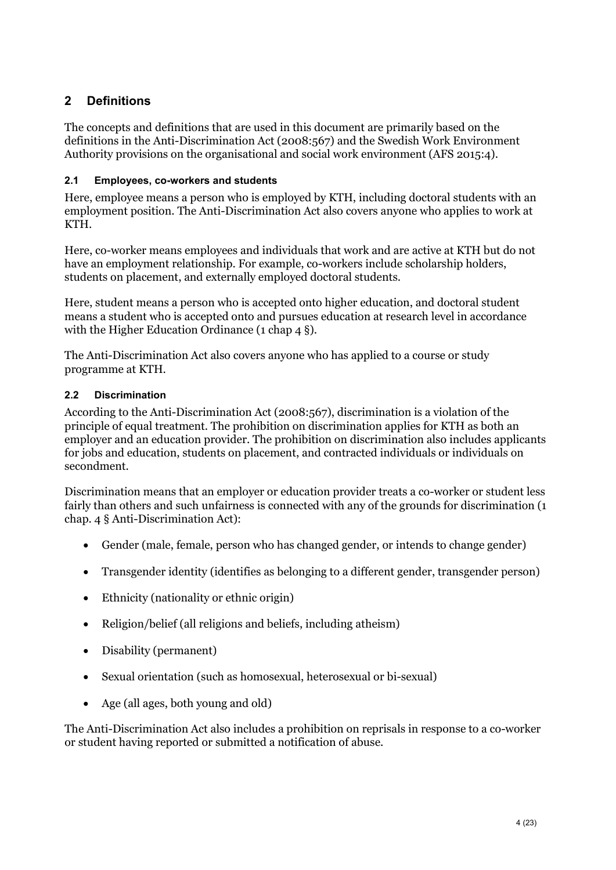## <span id="page-3-0"></span>**2 Definitions**

The concepts and definitions that are used in this document are primarily based on the definitions in the Anti-Discrimination Act (2008:567) and the Swedish Work Environment Authority provisions on the organisational and social work environment (AFS 2015:4).

## <span id="page-3-1"></span>**2.1 Employees, co-workers and students**

Here, employee means a person who is employed by KTH, including doctoral students with an employment position. The Anti-Discrimination Act also covers anyone who applies to work at KTH.

Here, co-worker means employees and individuals that work and are active at KTH but do not have an employment relationship. For example, co-workers include scholarship holders, students on placement, and externally employed doctoral students.

Here, student means a person who is accepted onto higher education, and doctoral student means a student who is accepted onto and pursues education at research level in accordance with the Higher Education Ordinance (1 chap 4 §).

The Anti-Discrimination Act also covers anyone who has applied to a course or study programme at KTH.

## <span id="page-3-2"></span>**2.2 Discrimination**

According to the Anti-Discrimination Act (2008:567), discrimination is a violation of the principle of equal treatment. The prohibition on discrimination applies for KTH as both an employer and an education provider. The prohibition on discrimination also includes applicants for jobs and education, students on placement, and contracted individuals or individuals on secondment.

Discrimination means that an employer or education provider treats a co-worker or student less fairly than others and such unfairness is connected with any of the grounds for discrimination (1 chap. 4 § Anti-Discrimination Act):

- Gender (male, female, person who has changed gender, or intends to change gender)
- Transgender identity (identifies as belonging to a different gender, transgender person)
- Ethnicity (nationality or ethnic origin)
- Religion/belief (all religions and beliefs, including atheism)
- Disability (permanent)
- Sexual orientation (such as homosexual, heterosexual or bi-sexual)
- Age (all ages, both young and old)

The Anti-Discrimination Act also includes a prohibition on reprisals in response to a co-worker or student having reported or submitted a notification of abuse.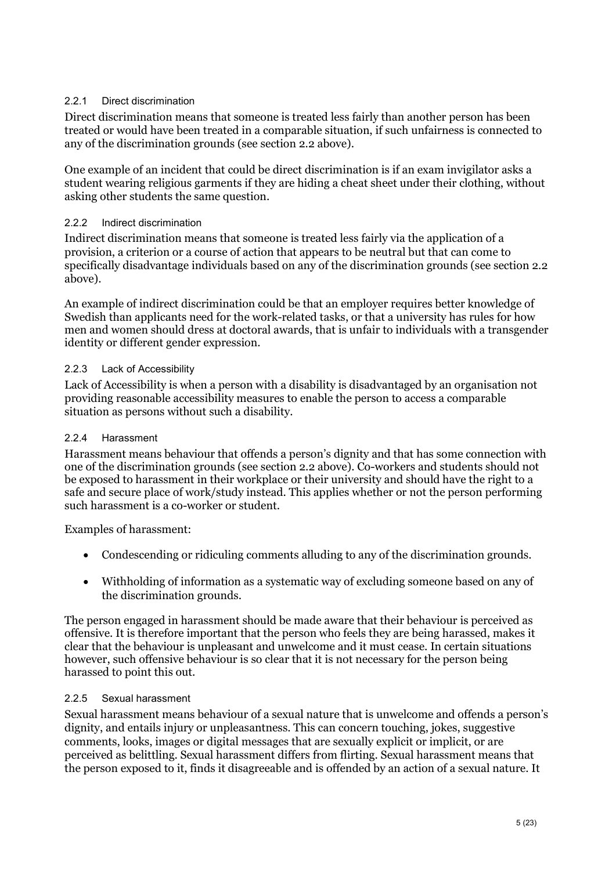## 2.2.1 Direct discrimination

Direct discrimination means that someone is treated less fairly than another person has been treated or would have been treated in a comparable situation, if such unfairness is connected to any of the discrimination grounds (see section 2.2 above).

One example of an incident that could be direct discrimination is if an exam invigilator asks a student wearing religious garments if they are hiding a cheat sheet under their clothing, without asking other students the same question.

#### 2.2.2 Indirect discrimination

Indirect discrimination means that someone is treated less fairly via the application of a provision, a criterion or a course of action that appears to be neutral but that can come to specifically disadvantage individuals based on any of the discrimination grounds (see section 2.2 above).

An example of indirect discrimination could be that an employer requires better knowledge of Swedish than applicants need for the work-related tasks, or that a university has rules for how men and women should dress at doctoral awards, that is unfair to individuals with a transgender identity or different gender expression.

#### 2.2.3 Lack of Accessibility

Lack of Accessibility is when a person with a disability is disadvantaged by an organisation not providing reasonable accessibility measures to enable the person to access a comparable situation as persons without such a disability.

#### 2.2.4 Harassment

Harassment means behaviour that offends a person's dignity and that has some connection with one of the discrimination grounds (see section 2.2 above). Co-workers and students should not be exposed to harassment in their workplace or their university and should have the right to a safe and secure place of work/study instead. This applies whether or not the person performing such harassment is a co-worker or student.

Examples of harassment:

- Condescending or ridiculing comments alluding to any of the discrimination grounds.
- Withholding of information as a systematic way of excluding someone based on any of the discrimination grounds.

The person engaged in harassment should be made aware that their behaviour is perceived as offensive. It is therefore important that the person who feels they are being harassed, makes it clear that the behaviour is unpleasant and unwelcome and it must cease. In certain situations however, such offensive behaviour is so clear that it is not necessary for the person being harassed to point this out.

#### 2.2.5 Sexual harassment

Sexual harassment means behaviour of a sexual nature that is unwelcome and offends a person's dignity, and entails injury or unpleasantness. This can concern touching, jokes, suggestive comments, looks, images or digital messages that are sexually explicit or implicit, or are perceived as belittling. Sexual harassment differs from flirting. Sexual harassment means that the person exposed to it, finds it disagreeable and is offended by an action of a sexual nature. It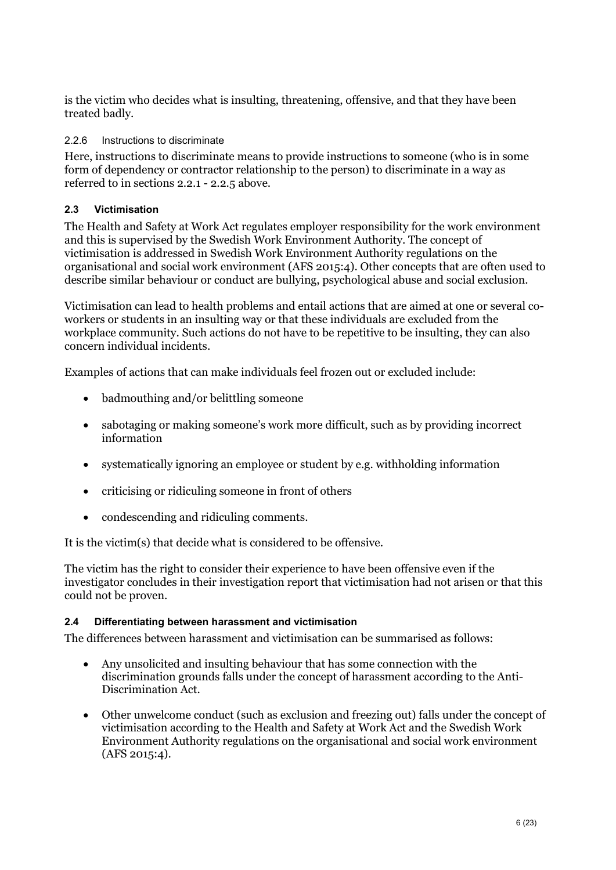is the victim who decides what is insulting, threatening, offensive, and that they have been treated badly.

#### 2.2.6 Instructions to discriminate

Here, instructions to discriminate means to provide instructions to someone (who is in some form of dependency or contractor relationship to the person) to discriminate in a way as referred to in sections 2.2.1 - 2.2.5 above.

## <span id="page-5-0"></span>**2.3 Victimisation**

The Health and Safety at Work Act regulates employer responsibility for the work environment and this is supervised by the Swedish Work Environment Authority. The concept of victimisation is addressed in Swedish Work Environment Authority regulations on the organisational and social work environment (AFS 2015:4). Other concepts that are often used to describe similar behaviour or conduct are bullying, psychological abuse and social exclusion.

Victimisation can lead to health problems and entail actions that are aimed at one or several coworkers or students in an insulting way or that these individuals are excluded from the workplace community. Such actions do not have to be repetitive to be insulting, they can also concern individual incidents.

Examples of actions that can make individuals feel frozen out or excluded include:

- badmouthing and/or belittling someone
- sabotaging or making someone's work more difficult, such as by providing incorrect information
- systematically ignoring an employee or student by e.g. withholding information
- criticising or ridiculing someone in front of others
- condescending and ridiculing comments.

It is the victim(s) that decide what is considered to be offensive.

The victim has the right to consider their experience to have been offensive even if the investigator concludes in their investigation report that victimisation had not arisen or that this could not be proven.

#### <span id="page-5-1"></span>**2.4 Differentiating between harassment and victimisation**

The differences between harassment and victimisation can be summarised as follows:

- Any unsolicited and insulting behaviour that has some connection with the discrimination grounds falls under the concept of harassment according to the Anti-Discrimination Act.
- Other unwelcome conduct (such as exclusion and freezing out) falls under the concept of victimisation according to the Health and Safety at Work Act and the Swedish Work Environment Authority regulations on the organisational and social work environment (AFS 2015:4).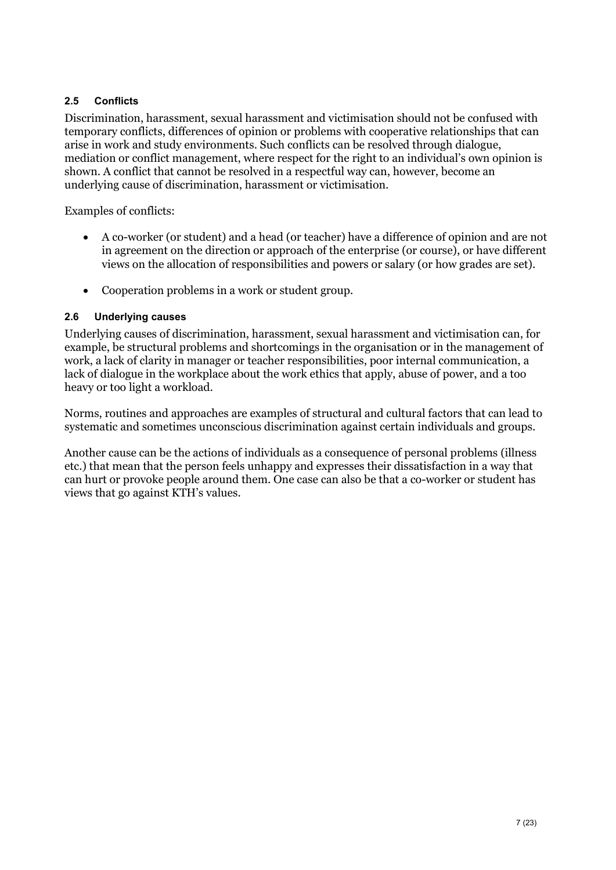## <span id="page-6-0"></span>**2.5 Conflicts**

Discrimination, harassment, sexual harassment and victimisation should not be confused with temporary conflicts, differences of opinion or problems with cooperative relationships that can arise in work and study environments. Such conflicts can be resolved through dialogue, mediation or conflict management, where respect for the right to an individual's own opinion is shown. A conflict that cannot be resolved in a respectful way can, however, become an underlying cause of discrimination, harassment or victimisation.

Examples of conflicts:

- A co-worker (or student) and a head (or teacher) have a difference of opinion and are not in agreement on the direction or approach of the enterprise (or course), or have different views on the allocation of responsibilities and powers or salary (or how grades are set).
- Cooperation problems in a work or student group.

#### <span id="page-6-1"></span>**2.6 Underlying causes**

Underlying causes of discrimination, harassment, sexual harassment and victimisation can, for example, be structural problems and shortcomings in the organisation or in the management of work, a lack of clarity in manager or teacher responsibilities, poor internal communication, a lack of dialogue in the workplace about the work ethics that apply, abuse of power, and a too heavy or too light a workload.

Norms, routines and approaches are examples of structural and cultural factors that can lead to systematic and sometimes unconscious discrimination against certain individuals and groups.

Another cause can be the actions of individuals as a consequence of personal problems (illness etc.) that mean that the person feels unhappy and expresses their dissatisfaction in a way that can hurt or provoke people around them. One case can also be that a co-worker or student has views that go against KTH's values.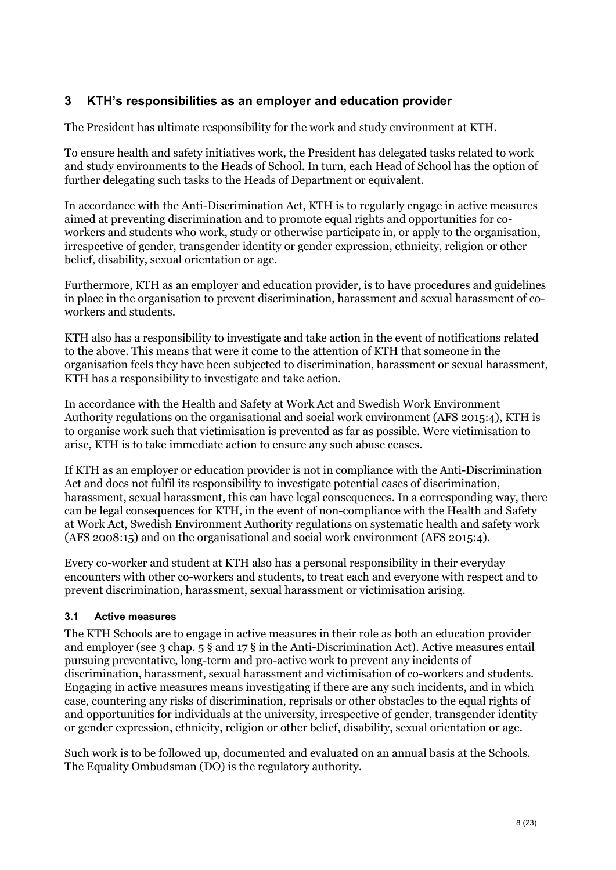## <span id="page-7-0"></span>**3 KTH's responsibilities as an employer and education provider**

The President has ultimate responsibility for the work and study environment at KTH.

To ensure health and safety initiatives work, the President has delegated tasks related to work and study environments to the Heads of School. In turn, each Head of School has the option of further delegating such tasks to the Heads of Department or equivalent.

In accordance with the Anti-Discrimination Act, KTH is to regularly engage in active measures aimed at preventing discrimination and to promote equal rights and opportunities for coworkers and students who work, study or otherwise participate in, or apply to the organisation, irrespective of gender, transgender identity or gender expression, ethnicity, religion or other belief, disability, sexual orientation or age.

Furthermore, KTH as an employer and education provider, is to have procedures and guidelines in place in the organisation to prevent discrimination, harassment and sexual harassment of coworkers and students.

KTH also has a responsibility to investigate and take action in the event of notifications related to the above. This means that were it come to the attention of KTH that someone in the organisation feels they have been subjected to discrimination, harassment or sexual harassment, KTH has a responsibility to investigate and take action.

In accordance with the Health and Safety at Work Act and Swedish Work Environment Authority regulations on the organisational and social work environment (AFS 2015:4), KTH is to organise work such that victimisation is prevented as far as possible. Were victimisation to arise, KTH is to take immediate action to ensure any such abuse ceases.

If KTH as an employer or education provider is not in compliance with the Anti-Discrimination Act and does not fulfil its responsibility to investigate potential cases of discrimination, harassment, sexual harassment, this can have legal consequences. In a corresponding way, there can be legal consequences for KTH, in the event of non-compliance with the Health and Safety at Work Act, Swedish Environment Authority regulations on systematic health and safety work (AFS 2008:15) and on the organisational and social work environment (AFS 2015:4).

Every co-worker and student at KTH also has a personal responsibility in their everyday encounters with other co-workers and students, to treat each and everyone with respect and to prevent discrimination, harassment, sexual harassment or victimisation arising.

## <span id="page-7-1"></span>**3.1 Active measures**

The KTH Schools are to engage in active measures in their role as both an education provider and employer (see 3 chap. 5 § and 17 § in the Anti-Discrimination Act). Active measures entail pursuing preventative, long-term and pro-active work to prevent any incidents of discrimination, harassment, sexual harassment and victimisation of co-workers and students. Engaging in active measures means investigating if there are any such incidents, and in which case, countering any risks of discrimination, reprisals or other obstacles to the equal rights of and opportunities for individuals at the university, irrespective of gender, transgender identity or gender expression, ethnicity, religion or other belief, disability, sexual orientation or age.

Such work is to be followed up, documented and evaluated on an annual basis at the Schools. The Equality Ombudsman (DO) is the regulatory authority.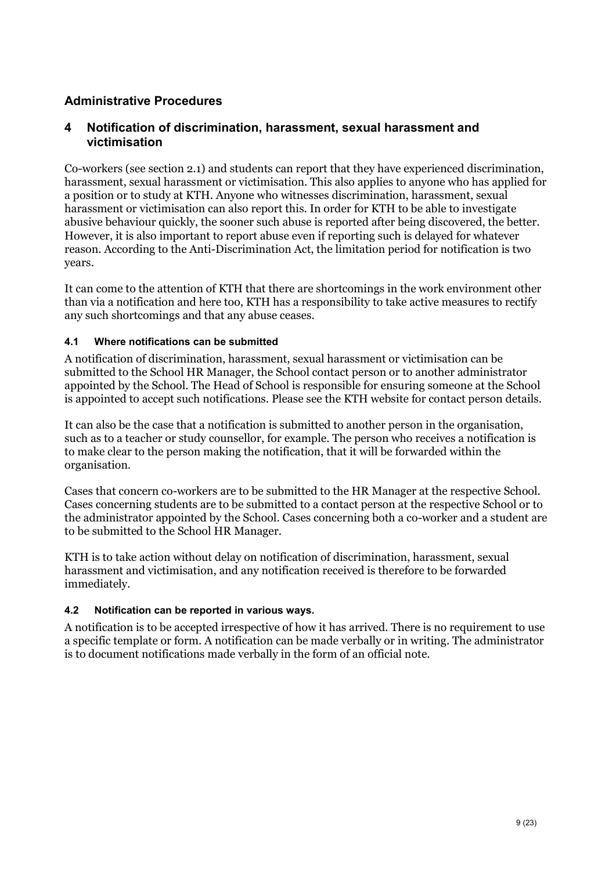## <span id="page-8-0"></span>**Administrative Procedures**

## <span id="page-8-1"></span>**4 Notification of discrimination, harassment, sexual harassment and victimisation**

Co-workers (see section 2.1) and students can report that they have experienced discrimination, harassment, sexual harassment or victimisation. This also applies to anyone who has applied for a position or to study at KTH. Anyone who witnesses discrimination, harassment, sexual harassment or victimisation can also report this. In order for KTH to be able to investigate abusive behaviour quickly, the sooner such abuse is reported after being discovered, the better. However, it is also important to report abuse even if reporting such is delayed for whatever reason. According to the Anti-Discrimination Act, the limitation period for notification is two years.

It can come to the attention of KTH that there are shortcomings in the work environment other than via a notification and here too, KTH has a responsibility to take active measures to rectify any such shortcomings and that any abuse ceases.

#### <span id="page-8-2"></span>**4.1 Where notifications can be submitted**

A notification of discrimination, harassment, sexual harassment or victimisation can be submitted to the School HR Manager, the School contact person or to another administrator appointed by the School. The Head of School is responsible for ensuring someone at the School is appointed to accept such notifications. Please see the KTH website for contact person details.

It can also be the case that a notification is submitted to another person in the organisation, such as to a teacher or study counsellor, for example. The person who receives a notification is to make clear to the person making the notification, that it will be forwarded within the organisation.

Cases that concern co-workers are to be submitted to the HR Manager at the respective School. Cases concerning students are to be submitted to a contact person at the respective School or to the administrator appointed by the School. Cases concerning both a co-worker and a student are to be submitted to the School HR Manager.

KTH is to take action without delay on notification of discrimination, harassment, sexual harassment and victimisation, and any notification received is therefore to be forwarded immediately.

#### <span id="page-8-3"></span>**4.2 Notification can be reported in various ways.**

A notification is to be accepted irrespective of how it has arrived. There is no requirement to use a specific template or form. A notification can be made verbally or in writing. The administrator is to document notifications made verbally in the form of an official note.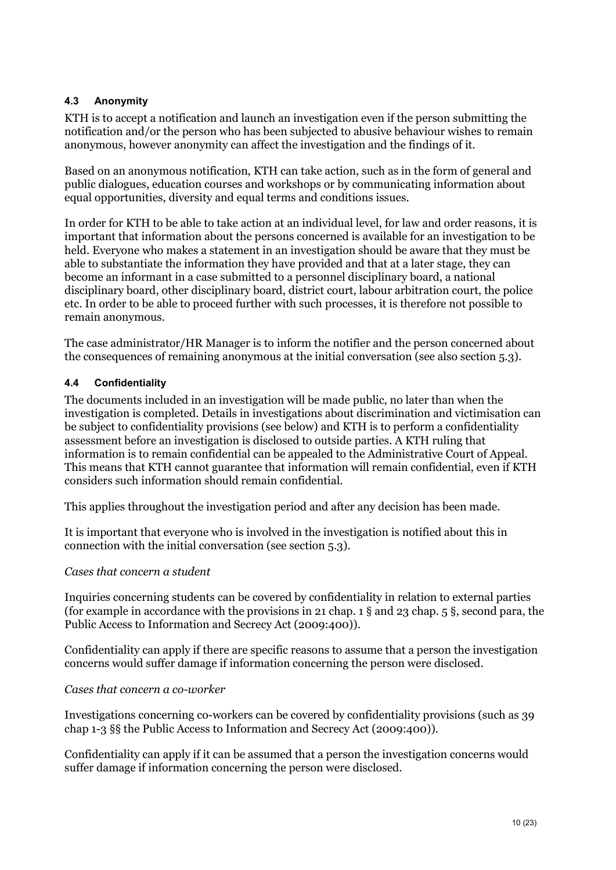#### <span id="page-9-0"></span>**4.3 Anonymity**

KTH is to accept a notification and launch an investigation even if the person submitting the notification and/or the person who has been subjected to abusive behaviour wishes to remain anonymous, however anonymity can affect the investigation and the findings of it.

Based on an anonymous notification, KTH can take action, such as in the form of general and public dialogues, education courses and workshops or by communicating information about equal opportunities, diversity and equal terms and conditions issues.

In order for KTH to be able to take action at an individual level, for law and order reasons, it is important that information about the persons concerned is available for an investigation to be held. Everyone who makes a statement in an investigation should be aware that they must be able to substantiate the information they have provided and that at a later stage, they can become an informant in a case submitted to a personnel disciplinary board, a national disciplinary board, other disciplinary board, district court, labour arbitration court, the police etc. In order to be able to proceed further with such processes, it is therefore not possible to remain anonymous.

The case administrator/HR Manager is to inform the notifier and the person concerned about the consequences of remaining anonymous at the initial conversation (see also section 5.3).

#### <span id="page-9-1"></span>**4.4 Confidentiality**

The documents included in an investigation will be made public, no later than when the investigation is completed. Details in investigations about discrimination and victimisation can be subject to confidentiality provisions (see below) and KTH is to perform a confidentiality assessment before an investigation is disclosed to outside parties. A KTH ruling that information is to remain confidential can be appealed to the Administrative Court of Appeal. This means that KTH cannot guarantee that information will remain confidential, even if KTH considers such information should remain confidential.

This applies throughout the investigation period and after any decision has been made.

It is important that everyone who is involved in the investigation is notified about this in connection with the initial conversation (see section 5.3).

#### *Cases that concern a student*

Inquiries concerning students can be covered by confidentiality in relation to external parties (for example in accordance with the provisions in 21 chap. 1 § and 23 chap. 5 §, second para, the Public Access to Information and Secrecy Act (2009:400)).

Confidentiality can apply if there are specific reasons to assume that a person the investigation concerns would suffer damage if information concerning the person were disclosed.

#### *Cases that concern a co-worker*

Investigations concerning co-workers can be covered by confidentiality provisions (such as 39 chap 1-3 §§ the Public Access to Information and Secrecy Act (2009:400)).

Confidentiality can apply if it can be assumed that a person the investigation concerns would suffer damage if information concerning the person were disclosed.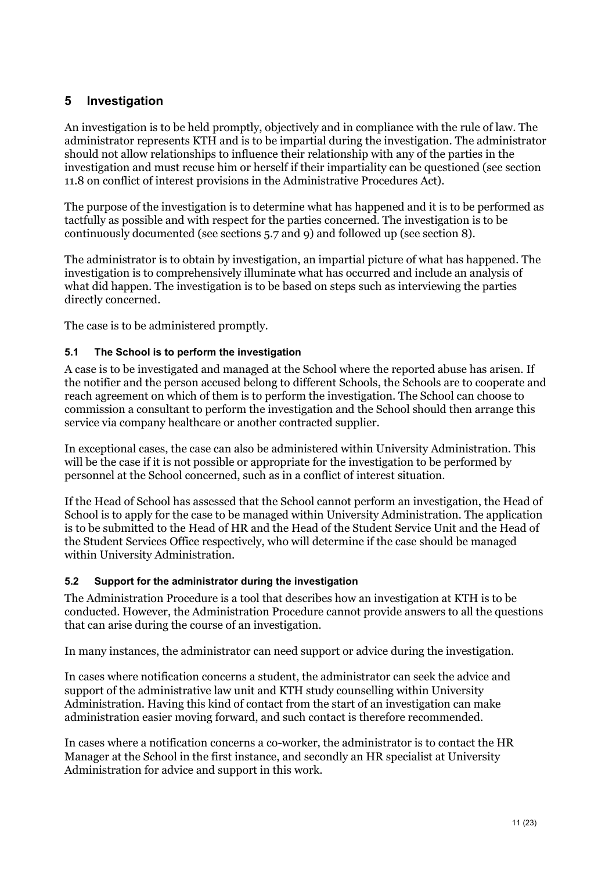## <span id="page-10-0"></span>**5 Investigation**

An investigation is to be held promptly, objectively and in compliance with the rule of law. The administrator represents KTH and is to be impartial during the investigation. The administrator should not allow relationships to influence their relationship with any of the parties in the investigation and must recuse him or herself if their impartiality can be questioned (see section 11.8 on conflict of interest provisions in the Administrative Procedures Act).

The purpose of the investigation is to determine what has happened and it is to be performed as tactfully as possible and with respect for the parties concerned. The investigation is to be continuously documented (see sections 5.7 and 9) and followed up (see section 8).

The administrator is to obtain by investigation, an impartial picture of what has happened. The investigation is to comprehensively illuminate what has occurred and include an analysis of what did happen. The investigation is to be based on steps such as interviewing the parties directly concerned.

The case is to be administered promptly.

## <span id="page-10-1"></span>**5.1 The School is to perform the investigation**

A case is to be investigated and managed at the School where the reported abuse has arisen. If the notifier and the person accused belong to different Schools, the Schools are to cooperate and reach agreement on which of them is to perform the investigation. The School can choose to commission a consultant to perform the investigation and the School should then arrange this service via company healthcare or another contracted supplier.

In exceptional cases, the case can also be administered within University Administration. This will be the case if it is not possible or appropriate for the investigation to be performed by personnel at the School concerned, such as in a conflict of interest situation.

If the Head of School has assessed that the School cannot perform an investigation, the Head of School is to apply for the case to be managed within University Administration. The application is to be submitted to the Head of HR and the Head of the Student Service Unit and the Head of the Student Services Office respectively, who will determine if the case should be managed within University Administration.

#### <span id="page-10-2"></span>**5.2 Support for the administrator during the investigation**

The Administration Procedure is a tool that describes how an investigation at KTH is to be conducted. However, the Administration Procedure cannot provide answers to all the questions that can arise during the course of an investigation.

In many instances, the administrator can need support or advice during the investigation.

In cases where notification concerns a student, the administrator can seek the advice and support of the administrative law unit and KTH study counselling within University Administration. Having this kind of contact from the start of an investigation can make administration easier moving forward, and such contact is therefore recommended.

In cases where a notification concerns a co-worker, the administrator is to contact the HR Manager at the School in the first instance, and secondly an HR specialist at University Administration for advice and support in this work.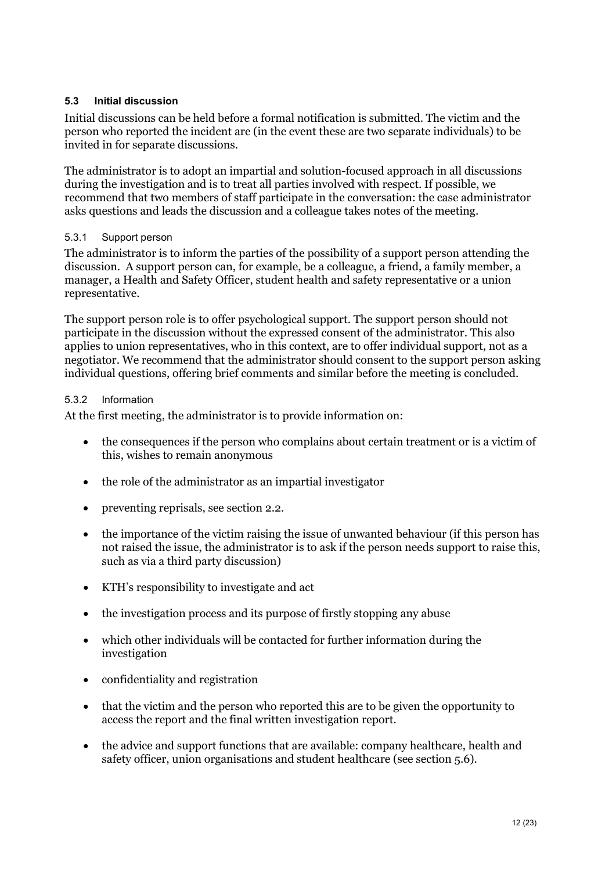## <span id="page-11-0"></span>**5.3 Initial discussion**

Initial discussions can be held before a formal notification is submitted. The victim and the person who reported the incident are (in the event these are two separate individuals) to be invited in for separate discussions.

The administrator is to adopt an impartial and solution-focused approach in all discussions during the investigation and is to treat all parties involved with respect. If possible, we recommend that two members of staff participate in the conversation: the case administrator asks questions and leads the discussion and a colleague takes notes of the meeting.

#### 5.3.1 Support person

The administrator is to inform the parties of the possibility of a support person attending the discussion. A support person can, for example, be a colleague, a friend, a family member, a manager, a Health and Safety Officer, student health and safety representative or a union representative.

The support person role is to offer psychological support. The support person should not participate in the discussion without the expressed consent of the administrator. This also applies to union representatives, who in this context, are to offer individual support, not as a negotiator. We recommend that the administrator should consent to the support person asking individual questions, offering brief comments and similar before the meeting is concluded.

#### 5.3.2 Information

At the first meeting, the administrator is to provide information on:

- the consequences if the person who complains about certain treatment or is a victim of this, wishes to remain anonymous
- the role of the administrator as an impartial investigator
- preventing reprisals, see section 2.2.
- the importance of the victim raising the issue of unwanted behaviour (if this person has not raised the issue, the administrator is to ask if the person needs support to raise this, such as via a third party discussion)
- KTH's responsibility to investigate and act
- the investigation process and its purpose of firstly stopping any abuse
- which other individuals will be contacted for further information during the investigation
- confidentiality and registration
- that the victim and the person who reported this are to be given the opportunity to access the report and the final written investigation report.
- the advice and support functions that are available: company healthcare, health and safety officer, union organisations and student healthcare (see section 5.6).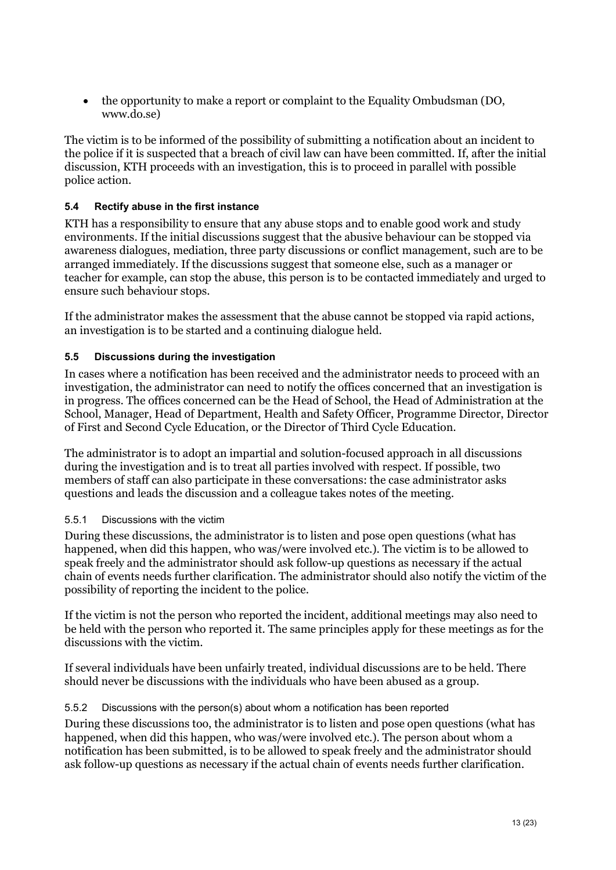• the opportunity to make a report or complaint to the Equality Ombudsman (DO, www.do.se)

The victim is to be informed of the possibility of submitting a notification about an incident to the police if it is suspected that a breach of civil law can have been committed. If, after the initial discussion, KTH proceeds with an investigation, this is to proceed in parallel with possible police action.

## <span id="page-12-0"></span>**5.4 Rectify abuse in the first instance**

KTH has a responsibility to ensure that any abuse stops and to enable good work and study environments. If the initial discussions suggest that the abusive behaviour can be stopped via awareness dialogues, mediation, three party discussions or conflict management, such are to be arranged immediately. If the discussions suggest that someone else, such as a manager or teacher for example, can stop the abuse, this person is to be contacted immediately and urged to ensure such behaviour stops.

If the administrator makes the assessment that the abuse cannot be stopped via rapid actions, an investigation is to be started and a continuing dialogue held.

## <span id="page-12-1"></span>**5.5 Discussions during the investigation**

In cases where a notification has been received and the administrator needs to proceed with an investigation, the administrator can need to notify the offices concerned that an investigation is in progress. The offices concerned can be the Head of School, the Head of Administration at the School, Manager, Head of Department, Health and Safety Officer, Programme Director, Director of First and Second Cycle Education, or the Director of Third Cycle Education.

The administrator is to adopt an impartial and solution-focused approach in all discussions during the investigation and is to treat all parties involved with respect. If possible, two members of staff can also participate in these conversations: the case administrator asks questions and leads the discussion and a colleague takes notes of the meeting.

#### 5.5.1 Discussions with the victim

During these discussions, the administrator is to listen and pose open questions (what has happened, when did this happen, who was/were involved etc.). The victim is to be allowed to speak freely and the administrator should ask follow-up questions as necessary if the actual chain of events needs further clarification. The administrator should also notify the victim of the possibility of reporting the incident to the police.

If the victim is not the person who reported the incident, additional meetings may also need to be held with the person who reported it. The same principles apply for these meetings as for the discussions with the victim.

If several individuals have been unfairly treated, individual discussions are to be held. There should never be discussions with the individuals who have been abused as a group.

#### 5.5.2 Discussions with the person(s) about whom a notification has been reported

During these discussions too, the administrator is to listen and pose open questions (what has happened, when did this happen, who was/were involved etc.). The person about whom a notification has been submitted, is to be allowed to speak freely and the administrator should ask follow-up questions as necessary if the actual chain of events needs further clarification.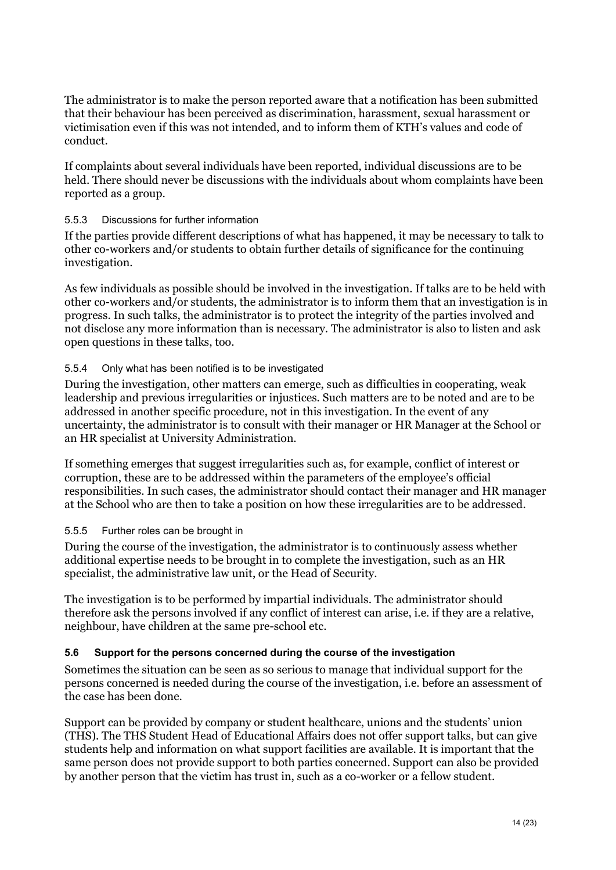The administrator is to make the person reported aware that a notification has been submitted that their behaviour has been perceived as discrimination, harassment, sexual harassment or victimisation even if this was not intended, and to inform them of KTH's values and code of conduct.

If complaints about several individuals have been reported, individual discussions are to be held. There should never be discussions with the individuals about whom complaints have been reported as a group.

## 5.5.3 Discussions for further information

If the parties provide different descriptions of what has happened, it may be necessary to talk to other co-workers and/or students to obtain further details of significance for the continuing investigation.

As few individuals as possible should be involved in the investigation. If talks are to be held with other co-workers and/or students, the administrator is to inform them that an investigation is in progress. In such talks, the administrator is to protect the integrity of the parties involved and not disclose any more information than is necessary. The administrator is also to listen and ask open questions in these talks, too.

## 5.5.4 Only what has been notified is to be investigated

During the investigation, other matters can emerge, such as difficulties in cooperating, weak leadership and previous irregularities or injustices. Such matters are to be noted and are to be addressed in another specific procedure, not in this investigation. In the event of any uncertainty, the administrator is to consult with their manager or HR Manager at the School or an HR specialist at University Administration.

If something emerges that suggest irregularities such as, for example, conflict of interest or corruption, these are to be addressed within the parameters of the employee's official responsibilities. In such cases, the administrator should contact their manager and HR manager at the School who are then to take a position on how these irregularities are to be addressed.

#### 5.5.5 Further roles can be brought in

During the course of the investigation, the administrator is to continuously assess whether additional expertise needs to be brought in to complete the investigation, such as an HR specialist, the administrative law unit, or the Head of Security.

The investigation is to be performed by impartial individuals. The administrator should therefore ask the persons involved if any conflict of interest can arise, i.e. if they are a relative, neighbour, have children at the same pre-school etc.

#### <span id="page-13-0"></span>**5.6 Support for the persons concerned during the course of the investigation**

Sometimes the situation can be seen as so serious to manage that individual support for the persons concerned is needed during the course of the investigation, i.e. before an assessment of the case has been done.

Support can be provided by company or student healthcare, unions and the students' union (THS). The THS Student Head of Educational Affairs does not offer support talks, but can give students help and information on what support facilities are available. It is important that the same person does not provide support to both parties concerned. Support can also be provided by another person that the victim has trust in, such as a co-worker or a fellow student.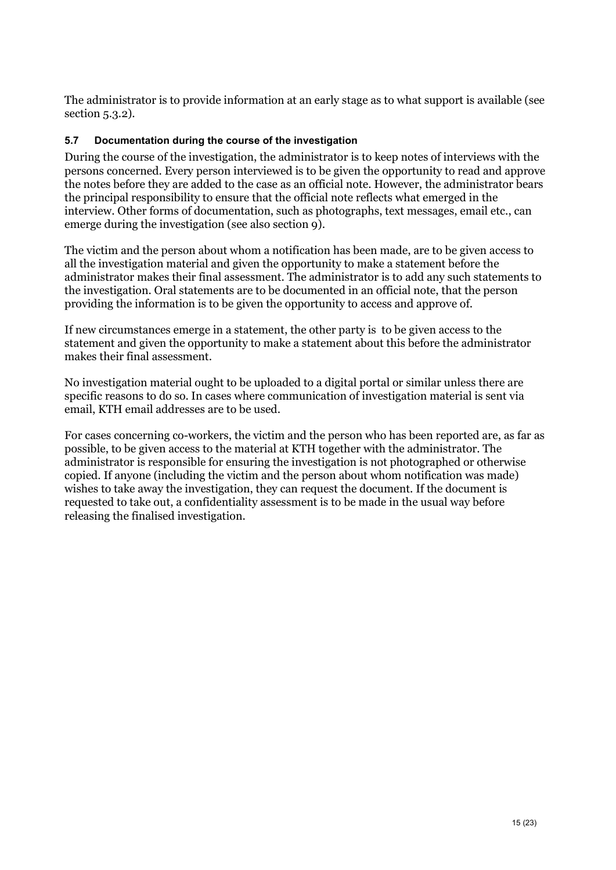The administrator is to provide information at an early stage as to what support is available (see section 5.3.2).

#### <span id="page-14-0"></span>**5.7 Documentation during the course of the investigation**

During the course of the investigation, the administrator is to keep notes of interviews with the persons concerned. Every person interviewed is to be given the opportunity to read and approve the notes before they are added to the case as an official note. However, the administrator bears the principal responsibility to ensure that the official note reflects what emerged in the interview. Other forms of documentation, such as photographs, text messages, email etc., can emerge during the investigation (see also section 9).

The victim and the person about whom a notification has been made, are to be given access to all the investigation material and given the opportunity to make a statement before the administrator makes their final assessment. The administrator is to add any such statements to the investigation. Oral statements are to be documented in an official note, that the person providing the information is to be given the opportunity to access and approve of.

If new circumstances emerge in a statement, the other party is to be given access to the statement and given the opportunity to make a statement about this before the administrator makes their final assessment.

No investigation material ought to be uploaded to a digital portal or similar unless there are specific reasons to do so. In cases where communication of investigation material is sent via email, KTH email addresses are to be used.

For cases concerning co-workers, the victim and the person who has been reported are, as far as possible, to be given access to the material at KTH together with the administrator. The administrator is responsible for ensuring the investigation is not photographed or otherwise copied. If anyone (including the victim and the person about whom notification was made) wishes to take away the investigation, they can request the document. If the document is requested to take out, a confidentiality assessment is to be made in the usual way before releasing the finalised investigation.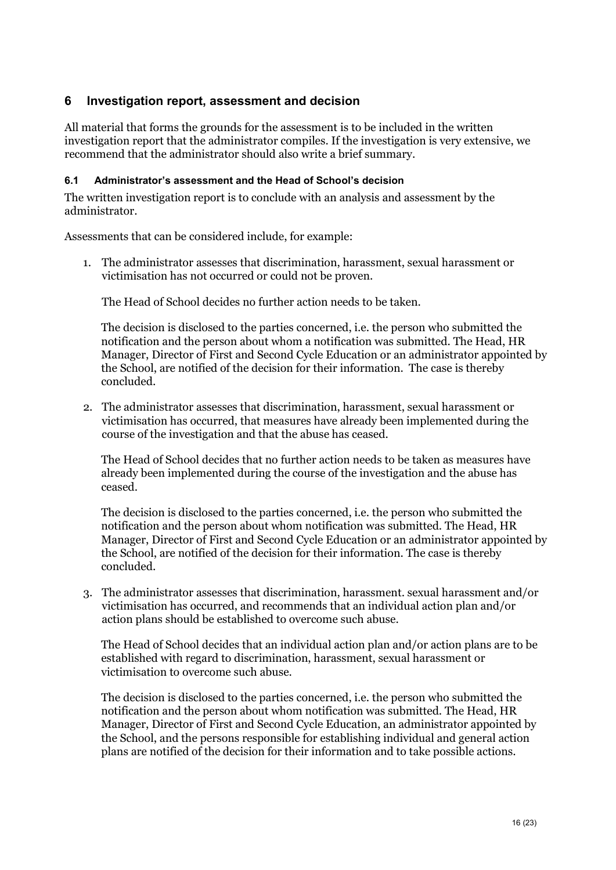## <span id="page-15-0"></span>**6 Investigation report, assessment and decision**

All material that forms the grounds for the assessment is to be included in the written investigation report that the administrator compiles. If the investigation is very extensive, we recommend that the administrator should also write a brief summary.

#### <span id="page-15-1"></span>**6.1 Administrator's assessment and the Head of School's decision**

The written investigation report is to conclude with an analysis and assessment by the administrator.

Assessments that can be considered include, for example:

1. The administrator assesses that discrimination, harassment, sexual harassment or victimisation has not occurred or could not be proven.

The Head of School decides no further action needs to be taken.

The decision is disclosed to the parties concerned, i.e. the person who submitted the notification and the person about whom a notification was submitted. The Head, HR Manager, Director of First and Second Cycle Education or an administrator appointed by the School, are notified of the decision for their information. The case is thereby concluded.

2. The administrator assesses that discrimination, harassment, sexual harassment or victimisation has occurred, that measures have already been implemented during the course of the investigation and that the abuse has ceased.

The Head of School decides that no further action needs to be taken as measures have already been implemented during the course of the investigation and the abuse has ceased.

The decision is disclosed to the parties concerned, i.e. the person who submitted the notification and the person about whom notification was submitted. The Head, HR Manager, Director of First and Second Cycle Education or an administrator appointed by the School, are notified of the decision for their information. The case is thereby concluded.

3. The administrator assesses that discrimination, harassment. sexual harassment and/or victimisation has occurred, and recommends that an individual action plan and/or action plans should be established to overcome such abuse.

The Head of School decides that an individual action plan and/or action plans are to be established with regard to discrimination, harassment, sexual harassment or victimisation to overcome such abuse.

The decision is disclosed to the parties concerned, i.e. the person who submitted the notification and the person about whom notification was submitted. The Head, HR Manager, Director of First and Second Cycle Education, an administrator appointed by the School, and the persons responsible for establishing individual and general action plans are notified of the decision for their information and to take possible actions.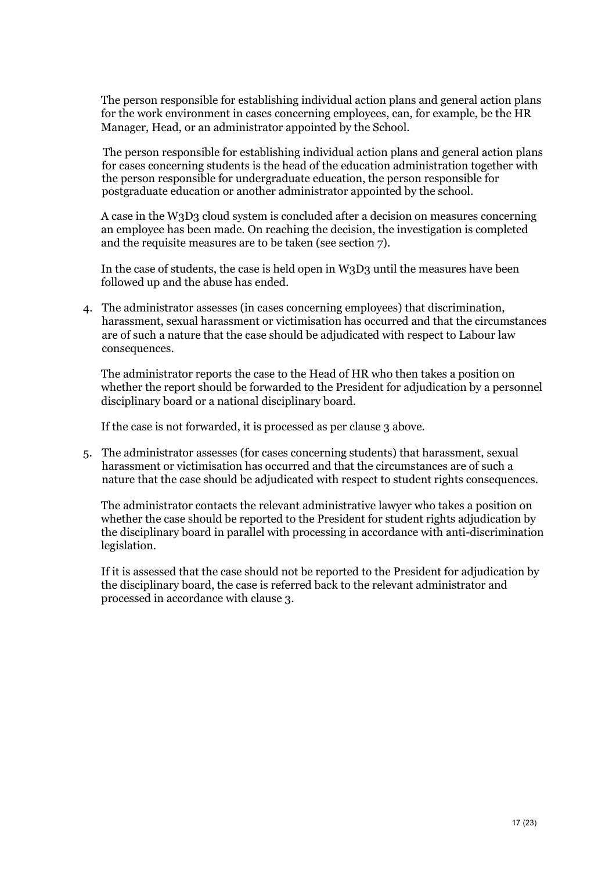The person responsible for establishing individual action plans and general action plans for the work environment in cases concerning employees, can, for example, be the HR Manager, Head, or an administrator appointed by the School.

The person responsible for establishing individual action plans and general action plans for cases concerning students is the head of the education administration together with the person responsible for undergraduate education, the person responsible for postgraduate education or another administrator appointed by the school.

A case in the W3D3 cloud system is concluded after a decision on measures concerning an employee has been made. On reaching the decision, the investigation is completed and the requisite measures are to be taken (see section 7).

In the case of students, the case is held open in W3D3 until the measures have been followed up and the abuse has ended.

4. The administrator assesses (in cases concerning employees) that discrimination, harassment, sexual harassment or victimisation has occurred and that the circumstances are of such a nature that the case should be adjudicated with respect to Labour law consequences.

The administrator reports the case to the Head of HR who then takes a position on whether the report should be forwarded to the President for adjudication by a personnel disciplinary board or a national disciplinary board.

If the case is not forwarded, it is processed as per clause 3 above.

5. The administrator assesses (for cases concerning students) that harassment, sexual harassment or victimisation has occurred and that the circumstances are of such a nature that the case should be adjudicated with respect to student rights consequences.

The administrator contacts the relevant administrative lawyer who takes a position on whether the case should be reported to the President for student rights adjudication by the disciplinary board in parallel with processing in accordance with anti-discrimination legislation.

If it is assessed that the case should not be reported to the President for adjudication by the disciplinary board, the case is referred back to the relevant administrator and processed in accordance with clause 3.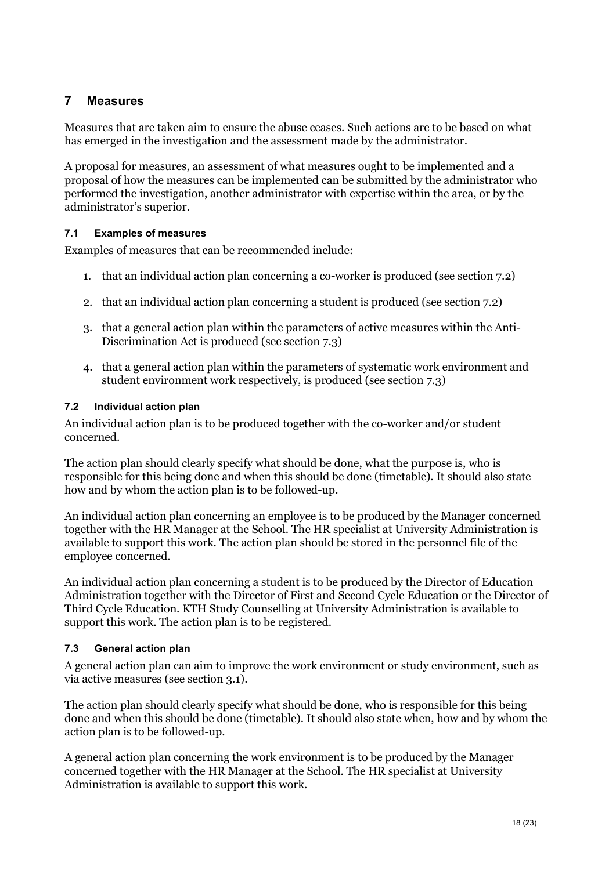## <span id="page-17-0"></span>**7 Measures**

Measures that are taken aim to ensure the abuse ceases. Such actions are to be based on what has emerged in the investigation and the assessment made by the administrator.

A proposal for measures, an assessment of what measures ought to be implemented and a proposal of how the measures can be implemented can be submitted by the administrator who performed the investigation, another administrator with expertise within the area, or by the administrator's superior.

#### <span id="page-17-1"></span>**7.1 Examples of measures**

Examples of measures that can be recommended include:

- 1. that an individual action plan concerning a co-worker is produced (see section 7.2)
- 2. that an individual action plan concerning a student is produced (see section 7.2)
- 3. that a general action plan within the parameters of active measures within the Anti-Discrimination Act is produced (see section 7.3)
- 4. that a general action plan within the parameters of systematic work environment and student environment work respectively, is produced (see section 7.3)

#### <span id="page-17-2"></span>**7.2 Individual action plan**

An individual action plan is to be produced together with the co-worker and/or student concerned.

The action plan should clearly specify what should be done, what the purpose is, who is responsible for this being done and when this should be done (timetable). It should also state how and by whom the action plan is to be followed-up.

An individual action plan concerning an employee is to be produced by the Manager concerned together with the HR Manager at the School. The HR specialist at University Administration is available to support this work. The action plan should be stored in the personnel file of the employee concerned.

An individual action plan concerning a student is to be produced by the Director of Education Administration together with the Director of First and Second Cycle Education or the Director of Third Cycle Education. KTH Study Counselling at University Administration is available to support this work. The action plan is to be registered.

#### <span id="page-17-3"></span>**7.3 General action plan**

A general action plan can aim to improve the work environment or study environment, such as via active measures (see section 3.1).

The action plan should clearly specify what should be done, who is responsible for this being done and when this should be done (timetable). It should also state when, how and by whom the action plan is to be followed-up.

A general action plan concerning the work environment is to be produced by the Manager concerned together with the HR Manager at the School. The HR specialist at University Administration is available to support this work.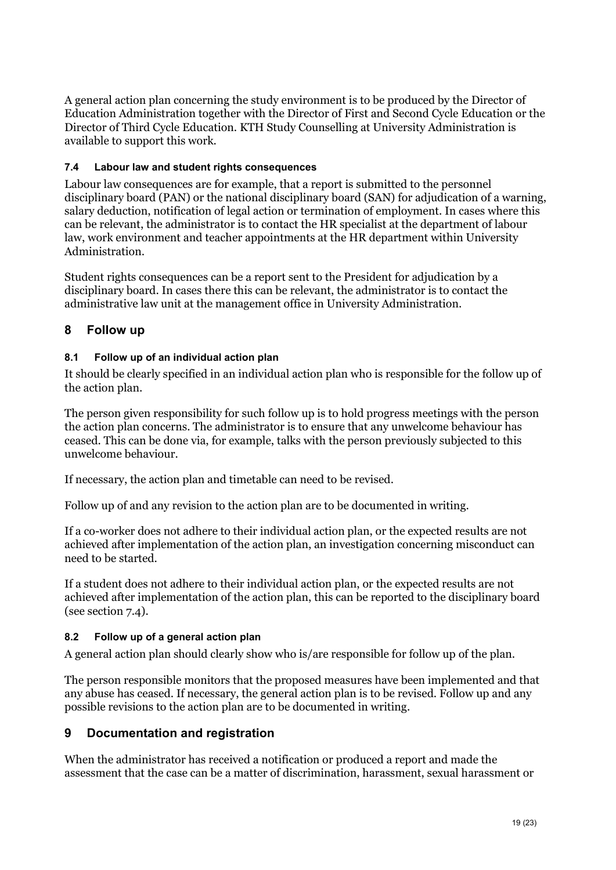A general action plan concerning the study environment is to be produced by the Director of Education Administration together with the Director of First and Second Cycle Education or the Director of Third Cycle Education. KTH Study Counselling at University Administration is available to support this work.

## <span id="page-18-0"></span>**7.4 Labour law and student rights consequences**

Labour law consequences are for example, that a report is submitted to the personnel disciplinary board (PAN) or the national disciplinary board (SAN) for adjudication of a warning, salary deduction, notification of legal action or termination of employment. In cases where this can be relevant, the administrator is to contact the HR specialist at the department of labour law, work environment and teacher appointments at the HR department within University Administration.

Student rights consequences can be a report sent to the President for adjudication by a disciplinary board. In cases there this can be relevant, the administrator is to contact the administrative law unit at the management office in University Administration.

## <span id="page-18-1"></span>**8 Follow up**

## <span id="page-18-2"></span>**8.1 Follow up of an individual action plan**

It should be clearly specified in an individual action plan who is responsible for the follow up of the action plan.

The person given responsibility for such follow up is to hold progress meetings with the person the action plan concerns. The administrator is to ensure that any unwelcome behaviour has ceased. This can be done via, for example, talks with the person previously subjected to this unwelcome behaviour.

If necessary, the action plan and timetable can need to be revised.

Follow up of and any revision to the action plan are to be documented in writing.

If a co-worker does not adhere to their individual action plan, or the expected results are not achieved after implementation of the action plan, an investigation concerning misconduct can need to be started.

If a student does not adhere to their individual action plan, or the expected results are not achieved after implementation of the action plan, this can be reported to the disciplinary board (see section 7.4).

#### <span id="page-18-3"></span>**8.2 Follow up of a general action plan**

A general action plan should clearly show who is/are responsible for follow up of the plan.

The person responsible monitors that the proposed measures have been implemented and that any abuse has ceased. If necessary, the general action plan is to be revised. Follow up and any possible revisions to the action plan are to be documented in writing.

## <span id="page-18-4"></span>**9 Documentation and registration**

When the administrator has received a notification or produced a report and made the assessment that the case can be a matter of discrimination, harassment, sexual harassment or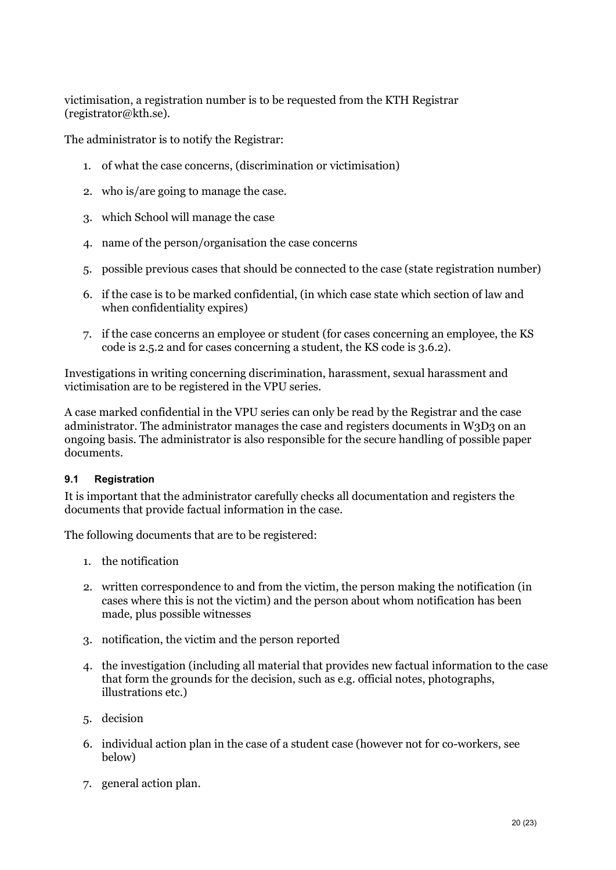victimisation, a registration number is to be requested from the KTH Registrar (registrator@kth.se).

The administrator is to notify the Registrar:

- 1. of what the case concerns, (discrimination or victimisation)
- 2. who is/are going to manage the case.
- 3. which School will manage the case
- 4. name of the person/organisation the case concerns
- 5. possible previous cases that should be connected to the case (state registration number)
- 6. if the case is to be marked confidential, (in which case state which section of law and when confidentiality expires)
- 7. if the case concerns an employee or student (for cases concerning an employee, the KS code is 2.5.2 and for cases concerning a student, the KS code is 3.6.2).

Investigations in writing concerning discrimination, harassment, sexual harassment and victimisation are to be registered in the VPU series.

A case marked confidential in the VPU series can only be read by the Registrar and the case administrator. The administrator manages the case and registers documents in W3D3 on an ongoing basis. The administrator is also responsible for the secure handling of possible paper documents.

#### <span id="page-19-0"></span>**9.1 Registration**

It is important that the administrator carefully checks all documentation and registers the documents that provide factual information in the case.

The following documents that are to be registered:

- 1. the notification
- 2. written correspondence to and from the victim, the person making the notification (in cases where this is not the victim) and the person about whom notification has been made, plus possible witnesses
- 3. notification, the victim and the person reported
- 4. the investigation (including all material that provides new factual information to the case that form the grounds for the decision, such as e.g. official notes, photographs, illustrations etc.)
- 5. decision
- 6. individual action plan in the case of a student case (however not for co-workers, see below)
- 7. general action plan.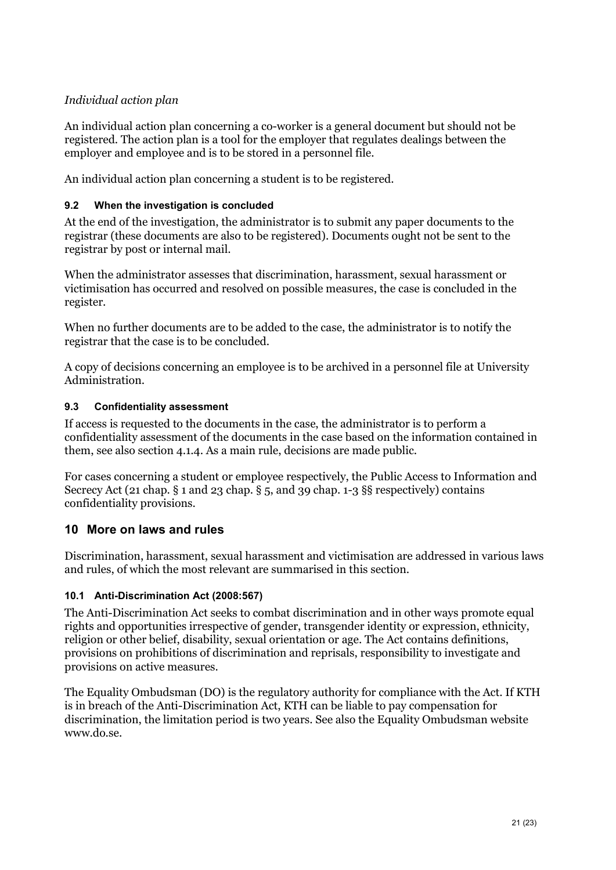## *Individual action plan*

An individual action plan concerning a co-worker is a general document but should not be registered. The action plan is a tool for the employer that regulates dealings between the employer and employee and is to be stored in a personnel file.

An individual action plan concerning a student is to be registered.

### <span id="page-20-0"></span>**9.2 When the investigation is concluded**

At the end of the investigation, the administrator is to submit any paper documents to the registrar (these documents are also to be registered). Documents ought not be sent to the registrar by post or internal mail.

When the administrator assesses that discrimination, harassment, sexual harassment or victimisation has occurred and resolved on possible measures, the case is concluded in the register.

When no further documents are to be added to the case, the administrator is to notify the registrar that the case is to be concluded.

A copy of decisions concerning an employee is to be archived in a personnel file at University Administration.

#### <span id="page-20-1"></span>**9.3 Confidentiality assessment**

If access is requested to the documents in the case, the administrator is to perform a confidentiality assessment of the documents in the case based on the information contained in them, see also section 4.1.4. As a main rule, decisions are made public.

For cases concerning a student or employee respectively, the Public Access to Information and Secrecy Act (21 chap. § 1 and 23 chap. § 5, and 39 chap. 1-3 §§ respectively) contains confidentiality provisions.

#### <span id="page-20-2"></span>**10 More on laws and rules**

Discrimination, harassment, sexual harassment and victimisation are addressed in various laws and rules, of which the most relevant are summarised in this section.

#### <span id="page-20-3"></span>**10.1 Anti-Discrimination Act (2008:567)**

The Anti-Discrimination Act seeks to combat discrimination and in other ways promote equal rights and opportunities irrespective of gender, transgender identity or expression, ethnicity, religion or other belief, disability, sexual orientation or age. The Act contains definitions, provisions on prohibitions of discrimination and reprisals, responsibility to investigate and provisions on active measures.

The Equality Ombudsman (DO) is the regulatory authority for compliance with the Act. If KTH is in breach of the Anti-Discrimination Act, KTH can be liable to pay compensation for discrimination, the limitation period is two years. See also the Equality Ombudsman website www.do.se.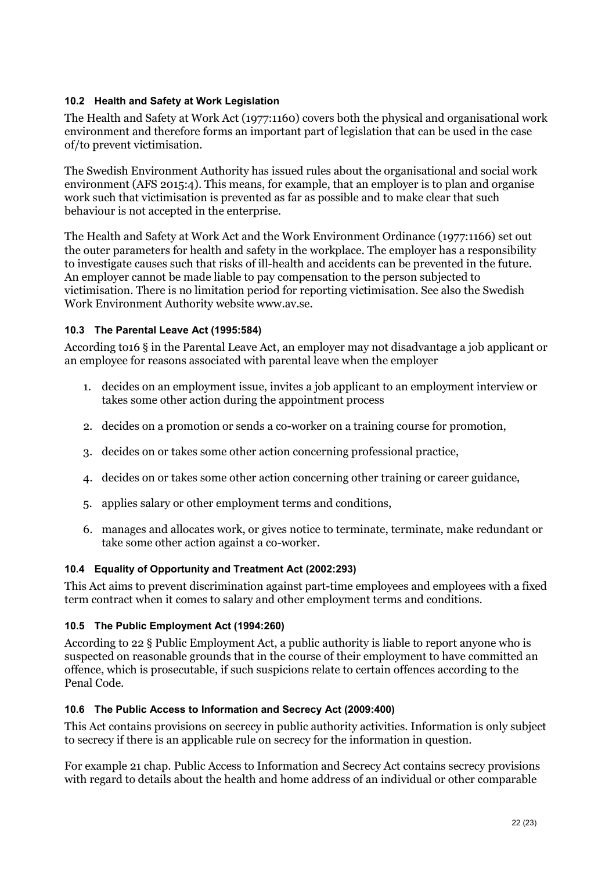#### <span id="page-21-0"></span>**10.2 Health and Safety at Work Legislation**

The Health and Safety at Work Act (1977:1160) covers both the physical and organisational work environment and therefore forms an important part of legislation that can be used in the case of/to prevent victimisation.

The Swedish Environment Authority has issued rules about the organisational and social work environment (AFS 2015:4). This means, for example, that an employer is to plan and organise work such that victimisation is prevented as far as possible and to make clear that such behaviour is not accepted in the enterprise.

The Health and Safety at Work Act and the Work Environment Ordinance (1977:1166) set out the outer parameters for health and safety in the workplace. The employer has a responsibility to investigate causes such that risks of ill-health and accidents can be prevented in the future. An employer cannot be made liable to pay compensation to the person subjected to victimisation. There is no limitation period for reporting victimisation. See also the Swedish Work Environment Authority website www.av.se.

## <span id="page-21-1"></span>**10.3 The Parental Leave Act (1995:584)**

According to16 § in the Parental Leave Act, an employer may not disadvantage a job applicant or an employee for reasons associated with parental leave when the employer

- 1. decides on an employment issue, invites a job applicant to an employment interview or takes some other action during the appointment process
- 2. decides on a promotion or sends a co-worker on a training course for promotion,
- 3. decides on or takes some other action concerning professional practice,
- 4. decides on or takes some other action concerning other training or career guidance,
- 5. applies salary or other employment terms and conditions,
- 6. manages and allocates work, or gives notice to terminate, terminate, make redundant or take some other action against a co-worker.

#### <span id="page-21-2"></span>**10.4 Equality of Opportunity and Treatment Act (2002:293)**

This Act aims to prevent discrimination against part-time employees and employees with a fixed term contract when it comes to salary and other employment terms and conditions.

#### <span id="page-21-3"></span>**10.5 The Public Employment Act (1994:260)**

According to 22 § Public Employment Act, a public authority is liable to report anyone who is suspected on reasonable grounds that in the course of their employment to have committed an offence, which is prosecutable, if such suspicions relate to certain offences according to the Penal Code.

#### <span id="page-21-4"></span>**10.6 The Public Access to Information and Secrecy Act (2009:400)**

This Act contains provisions on secrecy in public authority activities. Information is only subject to secrecy if there is an applicable rule on secrecy for the information in question.

For example 21 chap. Public Access to Information and Secrecy Act contains secrecy provisions with regard to details about the health and home address of an individual or other comparable